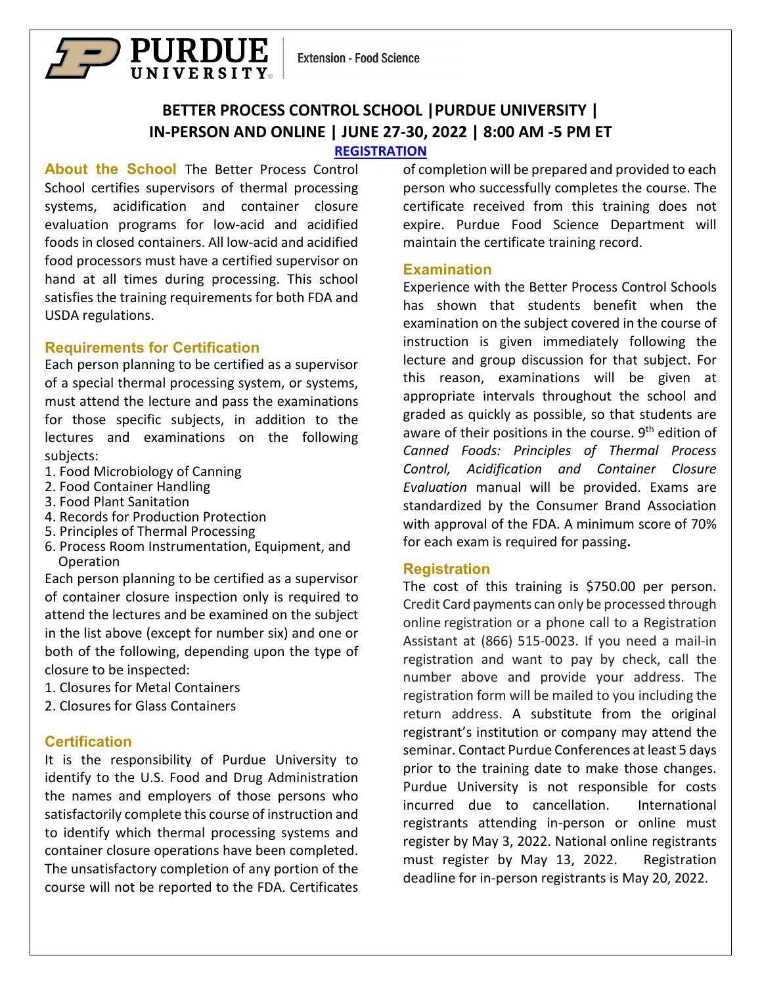

# **BETTER PROCESS CONTROL SCHOOL |PURDUE UNIVERSITY | IN-PERSON AND ONLINE | JUNE 27-30, 2022 | 8:00 AM -5 PM ET**

#### **[REGISTRATION](https://ag.purdue.edu/foodsci/mishralab/workshops/)**

**About the School** The Better Process Control School certifies supervisors of thermal processing systems, acidification and container closure evaluation programs for low-acid and acidified foods in closed containers. All low-acid and acidified food processors must have a certified supervisor on hand at all times during processing. This school satisfies the training requirements for both FDA and USDA regulations.

#### **Requirements for Certification**

Each person planning to be certified as a supervisor of a special thermal processing system, or systems, must attend the lecture and pass the examinations for those specific subjects, in addition to the lectures and examinations on the following subjects:

- 1. Food Microbiology of Canning
- 2. Food Container Handling
- 3. Food Plant Sanitation
- 4. Records for Production Protection
- 5. Principles of Thermal Processing
- 6. Process Room Instrumentation, Equipment, and Operation

Each person planning to be certified as a supervisor of container closure inspection only is required to attend the lectures and be examined on the subject in the list above (except for number six) and one or both of the following, depending upon the type of closure to be inspected:

- 1. Closures for Metal Containers
- 2. Closures for Glass Containers

## **Certification**

It is the responsibility of Purdue University to identify to the U.S. Food and Drug Administration the names and employers of those persons who satisfactorily complete this course of instruction and to identify which thermal processing systems and container closure operations have been completed. The unsatisfactory completion of any portion of the course will not be reported to the FDA. Certificates

of completion will be prepared and provided to each person who successfully completes the course. The certificate received from this training does not expire. Purdue Food Science Department will maintain the certificate training record.

#### **Examination**

Experience with the Better Process Control Schools has shown that students benefit when the examination on the subject covered in the course of instruction is given immediately following the lecture and group discussion for that subject. For this reason, examinations will be given at appropriate intervals throughout the school and graded as quickly as possible, so that students are aware of their positions in the course. 9<sup>th</sup> edition of *Canned Foods: Principles of Thermal Process Control, Acidification and Container Closure Evaluation* manual will be provided. Exams are standardized by the Consumer Brand Association with approval of the FDA. A minimum score of 70% for each exam is required for passing**.**

## **Registration**

The cost of this training is \$750.00 per person. Credit Card payments can only be processed through online registration or a phone call to a Registration Assistant at (866) 515-0023. If you need a mail-in registration and want to pay by check, call the number above and provide your address. The registration form will be mailed to you including the return address. A substitute from the original registrant's institution or company may attend the seminar. Contact Purdue Conferences at least 5 days prior to the training date to make those changes. Purdue University is not responsible for costs incurred due to cancellation. International registrants attending in-person or online must register by May 3, 2022. National online registrants must register by May 13, 2022. Registration deadline for in-person registrants is May 20, 2022.